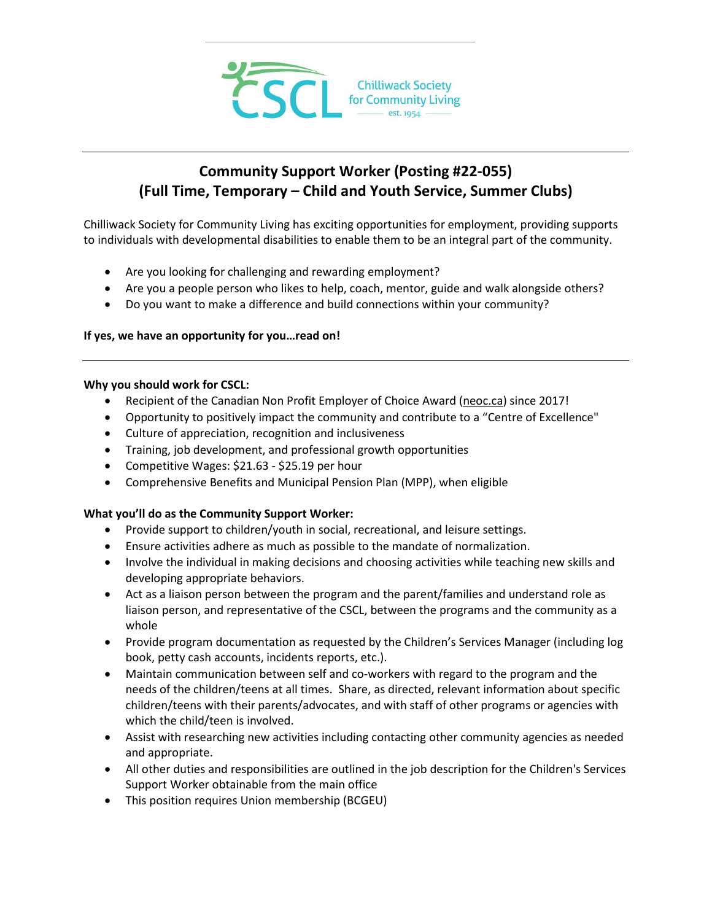

# **Community Support Worker (Posting #22-055) (Full Time, Temporary – Child and Youth Service, Summer Clubs)**

Chilliwack Society for Community Living has exciting opportunities for employment, providing supports to individuals with developmental disabilities to enable them to be an integral part of the community.

- Are you looking for challenging and rewarding employment?
- Are you a people person who likes to help, coach, mentor, guide and walk alongside others?
- Do you want to make a difference and build connections within your community?

## **If yes, we have an opportunity for you…read on!**

### **Why you should work for CSCL:**

- Recipient of the Canadian Non Profit Employer of Choice Award [\(neoc.ca\)](http://neoc.ca/) since 2017!
- Opportunity to positively impact the community and contribute to a "Centre of Excellence"
- Culture of appreciation, recognition and inclusiveness
- Training, job development, and professional growth opportunities
- Competitive Wages: \$21.63 \$25.19 per hour
- Comprehensive Benefits and Municipal Pension Plan (MPP), when eligible

## **What you'll do as the Community Support Worker:**

- Provide support to children/youth in social, recreational, and leisure settings.
- Ensure activities adhere as much as possible to the mandate of normalization.
- Involve the individual in making decisions and choosing activities while teaching new skills and developing appropriate behaviors.
- Act as a liaison person between the program and the parent/families and understand role as liaison person, and representative of the CSCL, between the programs and the community as a whole
- Provide program documentation as requested by the Children's Services Manager (including log book, petty cash accounts, incidents reports, etc.).
- Maintain communication between self and co-workers with regard to the program and the needs of the children/teens at all times. Share, as directed, relevant information about specific children/teens with their parents/advocates, and with staff of other programs or agencies with which the child/teen is involved.
- Assist with researching new activities including contacting other community agencies as needed and appropriate.
- All other duties and responsibilities are outlined in the job description for the Children's Services Support Worker obtainable from the main office
- This position requires Union membership (BCGEU)